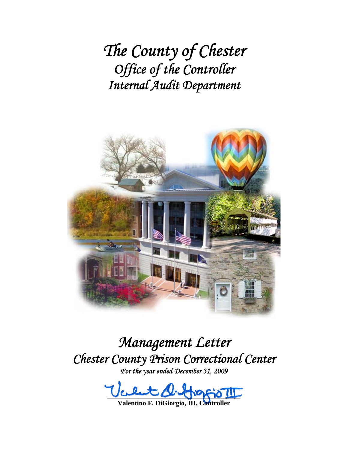*The County of Chester Office of the Controller Internal Audit Department*



*Management Letter Chester County Prison Correctional Center For the year ended December 31, 2009* 

 $\psi_\text{c}\text{let}\mathcal{Q}\text{-}\text{therefore}$ 

**Valentino F. DiGiorgio, III, C**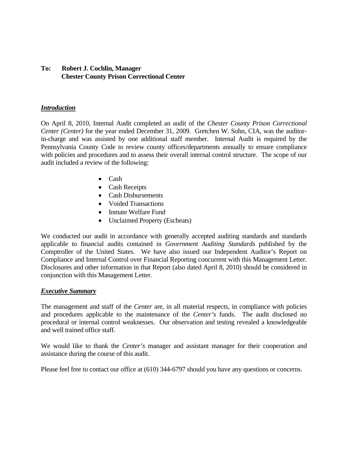# **To: Robert J. Cochlin, Manager Chester County Prison Correctional Center**

## *Introduction*

On April 8, 2010, Internal Audit completed an audit of the *Chester County Prison Correctional Center (Center)* for the year ended December 31, 2009. Gretchen W. Sohn, CIA, was the auditorin-charge and was assisted by one additional staff member. Internal Audit is required by the Pennsylvania County Code to review county offices/departments annually to ensure compliance with policies and procedures and to assess their overall internal control structure. The scope of our audit included a review of the following:

- Cash
- Cash Receipts
- Cash Disbursements
- Voided Transactions
- Inmate Welfare Fund
- Unclaimed Property (Escheats)

We conducted our audit in accordance with generally accepted auditing standards and standards applicable to financial audits contained in *Government Auditing Standards* published by the Comptroller of the United States. We have also issued our Independent Auditor's Report on Compliance and Internal Control over Financial Reporting concurrent with this Management Letter. Disclosures and other information in that Report (also dated April 8, 2010) should be considered in conjunction with this Management Letter.

### *Executive Summary*

The management and staff of the *Center* are, in all material respects, in compliance with policies and procedures applicable to the maintenance of the *Center's* funds. The audit disclosed no procedural or internal control weaknesses. Our observation and testing revealed a knowledgeable and well trained office staff.

We would like to thank the *Center's* manager and assistant manager for their cooperation and assistance during the course of this audit.

Please feel free to contact our office at (610) 344-6797 should you have any questions or concerns.